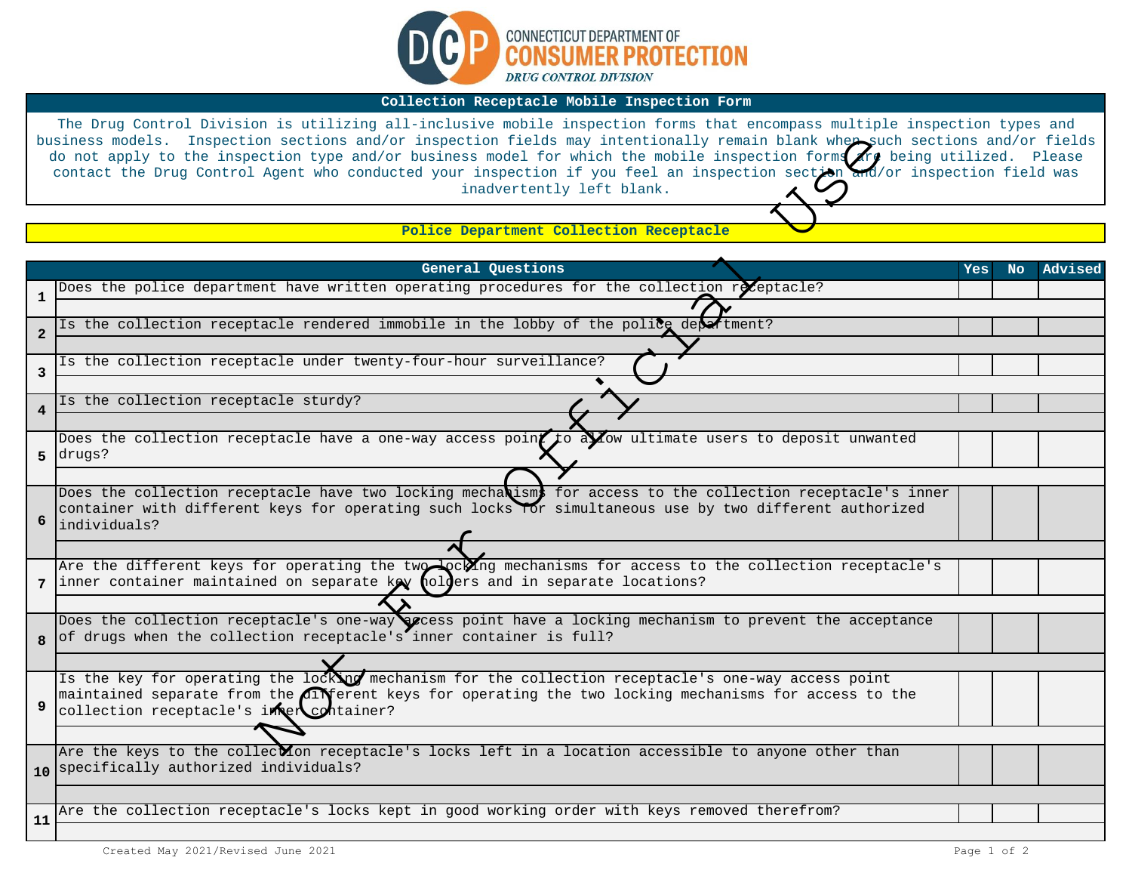

## **Collection Receptacle Mobile Inspection Form**

The Drug Control Division is utilizing all-inclusive mobile inspection forms that encompass multiple inspection types and business models. Inspection sections and/or inspection fields may intentionally remain blank when such sections and/or fields do not apply to the inspection type and/or business model for which the mobile inspection forms $\bigwedge\limits^{r}$  being utilized. Please contact the Drug Control Agent who conducted your inspection if you feel an inspection section and/or inspection field was inadvertently left blank.

| business models. Inspection sections and/or inspection fields may intentionally remain blank wher such sections and/or fields<br>do not apply to the inspection type and/or business model for which the mobile inspection forms are being utilized. Please<br>contact the Drug Control Agent who conducted your inspection if you feel an inspection section and/or inspection field was<br>inadvertently left blank. |                                                                                                                                                                                                                                       |            |     |         |  |  |  |
|------------------------------------------------------------------------------------------------------------------------------------------------------------------------------------------------------------------------------------------------------------------------------------------------------------------------------------------------------------------------------------------------------------------------|---------------------------------------------------------------------------------------------------------------------------------------------------------------------------------------------------------------------------------------|------------|-----|---------|--|--|--|
| Police Department Collection Receptacle                                                                                                                                                                                                                                                                                                                                                                                |                                                                                                                                                                                                                                       |            |     |         |  |  |  |
|                                                                                                                                                                                                                                                                                                                                                                                                                        |                                                                                                                                                                                                                                       |            |     |         |  |  |  |
|                                                                                                                                                                                                                                                                                                                                                                                                                        | General Questions                                                                                                                                                                                                                     | <b>Yes</b> | No. | Advised |  |  |  |
| 1                                                                                                                                                                                                                                                                                                                                                                                                                      | Does the police department have written operating procedures for the collection receptacle?                                                                                                                                           |            |     |         |  |  |  |
|                                                                                                                                                                                                                                                                                                                                                                                                                        | Is the collection receptacle rendered immobile in the lobby of the police department?                                                                                                                                                 |            |     |         |  |  |  |
| $\overline{2}$                                                                                                                                                                                                                                                                                                                                                                                                         |                                                                                                                                                                                                                                       |            |     |         |  |  |  |
|                                                                                                                                                                                                                                                                                                                                                                                                                        | Is the collection receptacle under twenty-four-hour surveillance?                                                                                                                                                                     |            |     |         |  |  |  |
| 3                                                                                                                                                                                                                                                                                                                                                                                                                      |                                                                                                                                                                                                                                       |            |     |         |  |  |  |
|                                                                                                                                                                                                                                                                                                                                                                                                                        | Is the collection receptacle sturdy?                                                                                                                                                                                                  |            |     |         |  |  |  |
| $\overline{4}$                                                                                                                                                                                                                                                                                                                                                                                                         |                                                                                                                                                                                                                                       |            |     |         |  |  |  |
| 5                                                                                                                                                                                                                                                                                                                                                                                                                      | Does the collection receptacle have a one-way access point to a yow ultimate users to deposit unwanted<br>drugs?                                                                                                                      |            |     |         |  |  |  |
|                                                                                                                                                                                                                                                                                                                                                                                                                        |                                                                                                                                                                                                                                       |            |     |         |  |  |  |
| 6                                                                                                                                                                                                                                                                                                                                                                                                                      | Does the collection receptacle have two locking mechanisms for access to the collection receptacle's inner<br>container with different keys for operating such locks for simultaneous use by two different authorized<br>individuals? |            |     |         |  |  |  |
|                                                                                                                                                                                                                                                                                                                                                                                                                        |                                                                                                                                                                                                                                       |            |     |         |  |  |  |
|                                                                                                                                                                                                                                                                                                                                                                                                                        | Are the different keys for operating the two locking mechanisms for access to the collection receptacle's<br>7 inner container maintained on separate key holders and in separate locations?                                          |            |     |         |  |  |  |
|                                                                                                                                                                                                                                                                                                                                                                                                                        |                                                                                                                                                                                                                                       |            |     |         |  |  |  |
|                                                                                                                                                                                                                                                                                                                                                                                                                        | Does the collection receptacle's one-way secess point have a locking mechanism to prevent the acceptance<br>of drugs when the collection receptacle's inner container is full?                                                        |            |     |         |  |  |  |
|                                                                                                                                                                                                                                                                                                                                                                                                                        |                                                                                                                                                                                                                                       |            |     |         |  |  |  |
|                                                                                                                                                                                                                                                                                                                                                                                                                        | Is the key for operating the locking mechanism for the collection receptacle's one-way access point                                                                                                                                   |            |     |         |  |  |  |
|                                                                                                                                                                                                                                                                                                                                                                                                                        | maintained separate from the different keys for operating the two locking mechanisms for access to the<br>collection receptacle's intercontainer?                                                                                     |            |     |         |  |  |  |
|                                                                                                                                                                                                                                                                                                                                                                                                                        |                                                                                                                                                                                                                                       |            |     |         |  |  |  |
|                                                                                                                                                                                                                                                                                                                                                                                                                        | Are the keys to the collecton receptacle's locks left in a location accessible to anyone other than                                                                                                                                   |            |     |         |  |  |  |
|                                                                                                                                                                                                                                                                                                                                                                                                                        | 10 specifically authorized individuals?                                                                                                                                                                                               |            |     |         |  |  |  |
|                                                                                                                                                                                                                                                                                                                                                                                                                        |                                                                                                                                                                                                                                       |            |     |         |  |  |  |
| 11                                                                                                                                                                                                                                                                                                                                                                                                                     | Are the collection receptacle's locks kept in good working order with keys removed therefrom?                                                                                                                                         |            |     |         |  |  |  |
|                                                                                                                                                                                                                                                                                                                                                                                                                        |                                                                                                                                                                                                                                       |            |     |         |  |  |  |